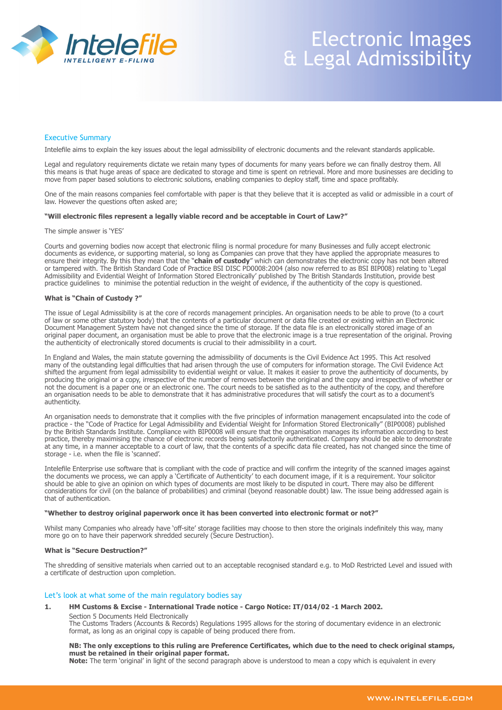

# Electronic Images & Legal Admissibility

## Executive Summary

Intelefile aims to explain the key issues about the legal admissibility of electronic documents and the relevant standards applicable.

Legal and regulatory requirements dictate we retain many types of documents for many years before we can finally destroy them. All this means is that huge areas of space are dedicated to storage and time is spent on retrieval. More and more businesses are deciding to move from paper based solutions to electronic solutions, enabling companies to deploy staff, time and space profitably.

One of the main reasons companies feel comfortable with paper is that they believe that it is accepted as valid or admissible in a court of law. However the questions often asked are;

## **"Will electronic files represent a legally viable record and be acceptable in Court of Law?"**

#### The simple answer is 'YES'

Courts and governing bodies now accept that electronic filing is normal procedure for many Businesses and fully accept electronic documents as evidence, or supporting material, so long as Companies can prove that they have applied the appropriate measures to ensure their integrity. By this they mean that the "**chain of custody**" which can demonstrates the electronic copy has not been altered or tampered with. The British Standard Code of Practice BSI DISC PD0008:2004 (also now referred to as BSI BIP008) relating to 'Legal Admissibility and Evidential Weight of Information Stored Electronically' published by The British Standards Institution, provide best practice guidelines to minimise the potential reduction in the weight of evidence, if the authenticity of the copy is questioned.

#### **What is "Chain of Custody ?"**

The issue of Legal Admissibility is at the core of records management principles. An organisation needs to be able to prove (to a court of law or some other statutory body) that the contents of a particular document or data file created or existing within an Electronic Document Management System have not changed since the time of storage. If the data file is an electronically stored image of an original paper document, an organisation must be able to prove that the electronic image is a true representation of the original. Proving the authenticity of electronically stored documents is crucial to their admissibility in a court.

In England and Wales, the main statute governing the admissibility of documents is the Civil Evidence Act 1995. This Act resolved many of the outstanding legal difficulties that had arisen through the use of computers for information storage. The Civil Evidence Act shifted the argument from legal admissibility to evidential weight or value. It makes it easier to prove the authenticity of documents, by producing the original or a copy, irrespective of the number of removes between the original and the copy and irrespective of whether or not the document is a paper one or an electronic one. The court needs to be satisfied as to the authenticity of the copy, and therefore an organisation needs to be able to demonstrate that it has administrative procedures that will satisfy the court as to a document's authenticity.

An organisation needs to demonstrate that it complies with the five principles of information management encapsulated into the code of practice - the "Code of Practice for Legal Admissibility and Evidential Weight for Information Stored Electronically" (BIP0008) published by the British Standards Institute. Compliance with BIP0008 will ensure that the organisation manages its information according to best practice, thereby maximising the chance of electronic records being satisfactorily authenticated. Company should be able to demonstrate at any time, in a manner acceptable to a court of law, that the contents of a specific data file created, has not changed since the time of storage - i.e. when the file is 'scanned'.

Intelefile Enterprise use software that is compliant with the code of practice and will confirm the integrity of the scanned images against the documents we process, we can apply a 'Certificate of Authenticity' to each document image, if it is a requirement. Your solicitor should be able to give an opinion on which types of documents are most likely to be disputed in court. There may also be different considerations for civil (on the balance of probabilities) and criminal (beyond reasonable doubt) law. The issue being addressed again is that of authentication.

#### **"Whether to destroy original paperwork once it has been converted into electronic format or not?"**

Whilst many Companies who already have 'off-site' storage facilities may choose to then store the originals indefinitely this way, many more go on to have their paperwork shredded securely (Secure Destruction).

#### **What is "Secure Destruction?"**

The shredding of sensitive materials when carried out to an acceptable recognised standard e.g. to MoD Restricted Level and issued with a certificate of destruction upon completion.

## Let's look at what some of the main regulatory bodies say

## **1. HM Customs & Excise - International Trade notice - Cargo Notice: IT/014/02 -1 March 2002.**

Section 5 Documents Held Electronically The Customs Traders (Accounts & Records) Regulations 1995 allows for the storing of documentary evidence in an electronic format, as long as an original copy is capable of being produced there from.

#### **NB: The only exceptions to this ruling are Preference Certificates, which due to the need to check original stamps, must be retained in their original paper format.**

**Note:** The term 'original' in light of the second paragraph above is understood to mean a copy which is equivalent in every